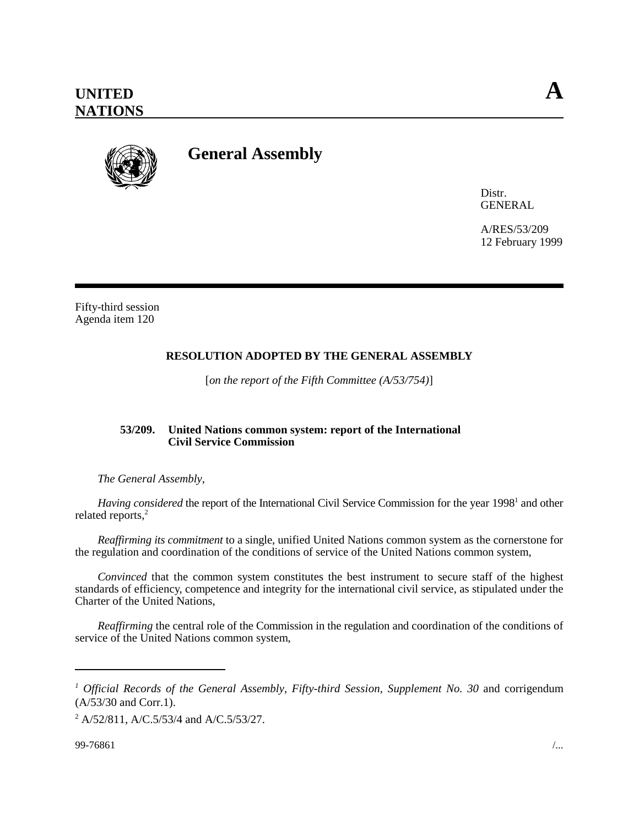

# **General Assembly**

Distr. GENERAL

A/RES/53/209 12 February 1999

Fifty-third session Agenda item 120

## **RESOLUTION ADOPTED BY THE GENERAL ASSEMBLY**

[*on the report of the Fifth Committee (A/53/754)*]

### **53/209. United Nations common system: report of the International Civil Service Commission**

*The General Assembly*,

Having considered the report of the International Civil Service Commission for the year 1998<sup>1</sup> and other related reports,<sup>2</sup>

*Reaffirming its commitment* to a single, unified United Nations common system as the cornerstone for the regulation and coordination of the conditions of service of the United Nations common system,

*Convinced* that the common system constitutes the best instrument to secure staff of the highest standards of efficiency, competence and integrity for the international civil service, as stipulated under the Charter of the United Nations,

*Reaffirming* the central role of the Commission in the regulation and coordination of the conditions of service of the United Nations common system,

<sup>&</sup>lt;sup>1</sup> Official Records of the General Assembly, Fifty-third Session, Supplement No. 30 and corrigendum (A/53/30 and Corr.1).

 $^{2}$  A/52/811, A/C.5/53/4 and A/C.5/53/27.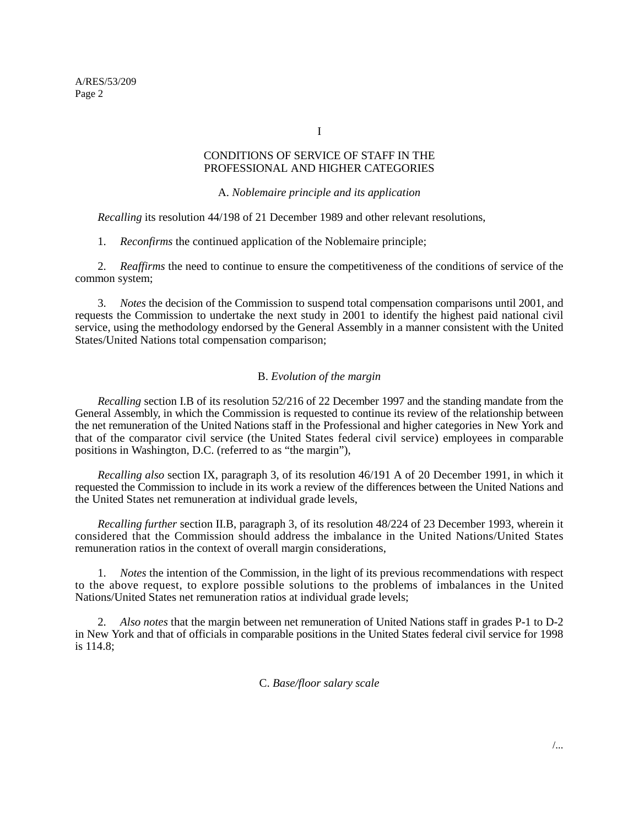I

### CONDITIONS OF SERVICE OF STAFF IN THE PROFESSIONAL AND HIGHER CATEGORIES

### A. *Noblemaire principle and its application*

*Recalling* its resolution 44/198 of 21 December 1989 and other relevant resolutions,

1. *Reconfirms* the continued application of the Noblemaire principle;

2. *Reaffirms* the need to continue to ensure the competitiveness of the conditions of service of the common system;

3. *Notes* the decision of the Commission to suspend total compensation comparisons until 2001, and requests the Commission to undertake the next study in 2001 to identify the highest paid national civil service, using the methodology endorsed by the General Assembly in a manner consistent with the United States/United Nations total compensation comparison;

### B. *Evolution of the margin*

*Recalling* section I.B of its resolution 52/216 of 22 December 1997 and the standing mandate from the General Assembly, in which the Commission is requested to continue its review of the relationship between the net remuneration of the United Nations staff in the Professional and higher categories in New York and that of the comparator civil service (the United States federal civil service) employees in comparable positions in Washington, D.C. (referred to as "the margin"),

*Recalling also* section IX, paragraph 3, of its resolution 46/191 A of 20 December 1991, in which it requested the Commission to include in its work a review of the differences between the United Nations and the United States net remuneration at individual grade levels,

*Recalling further* section II.B, paragraph 3, of its resolution 48/224 of 23 December 1993, wherein it considered that the Commission should address the imbalance in the United Nations/United States remuneration ratios in the context of overall margin considerations,

1. *Notes* the intention of the Commission, in the light of its previous recommendations with respect to the above request, to explore possible solutions to the problems of imbalances in the United Nations/United States net remuneration ratios at individual grade levels;

2. *Also notes* that the margin between net remuneration of United Nations staff in grades P-1 to D-2 in New York and that of officials in comparable positions in the United States federal civil service for 1998 is 114.8;

### C. *Base/floor salary scale*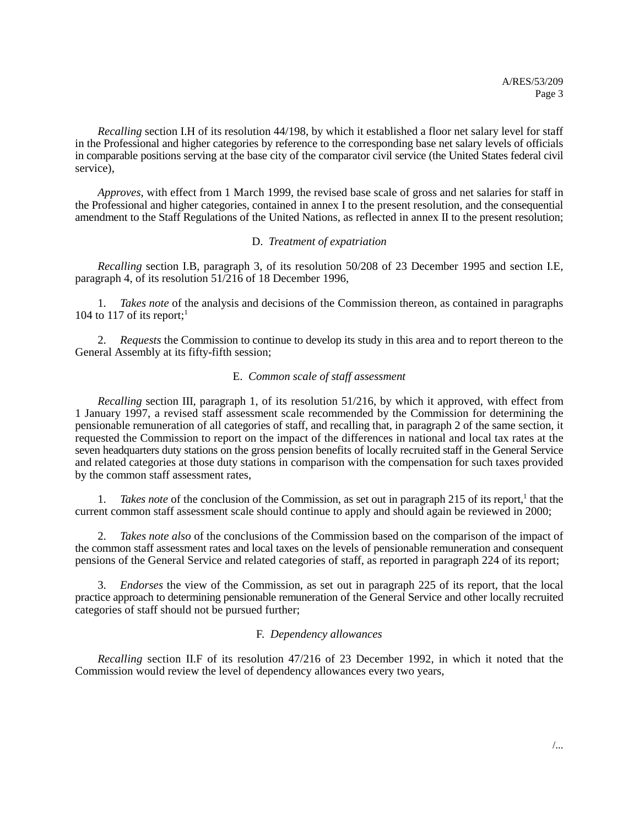*Recalling* section I.H of its resolution 44/198, by which it established a floor net salary level for staff in the Professional and higher categories by reference to the corresponding base net salary levels of officials in comparable positions serving at the base city of the comparator civil service (the United States federal civil service),

*Approves*, with effect from 1 March 1999, the revised base scale of gross and net salaries for staff in the Professional and higher categories, contained in annex I to the present resolution, and the consequential amendment to the Staff Regulations of the United Nations, as reflected in annex II to the present resolution;

### D. *Treatment of expatriation*

*Recalling* section I.B, paragraph 3, of its resolution 50/208 of 23 December 1995 and section I.E, paragraph 4, of its resolution 51/216 of 18 December 1996,

1. *Takes note* of the analysis and decisions of the Commission thereon, as contained in paragraphs 104 to 117 of its report;<sup>1</sup>

2. *Requests* the Commission to continue to develop its study in this area and to report thereon to the General Assembly at its fifty-fifth session;

### E. *Common scale of staff assessment*

*Recalling* section III, paragraph 1, of its resolution 51/216, by which it approved, with effect from 1 January 1997, a revised staff assessment scale recommended by the Commission for determining the pensionable remuneration of all categories of staff, and recalling that, in paragraph 2 of the same section, it requested the Commission to report on the impact of the differences in national and local tax rates at the seven headquarters duty stations on the gross pension benefits of locally recruited staff in the General Service and related categories at those duty stations in comparison with the compensation for such taxes provided by the common staff assessment rates,

1. *Takes note* of the conclusion of the Commission, as set out in paragraph 215 of its report,<sup>1</sup> that the current common staff assessment scale should continue to apply and should again be reviewed in 2000;

2. *Takes note also* of the conclusions of the Commission based on the comparison of the impact of the common staff assessment rates and local taxes on the levels of pensionable remuneration and consequent pensions of the General Service and related categories of staff, as reported in paragraph 224 of its report;

3. *Endorses* the view of the Commission, as set out in paragraph 225 of its report, that the local practice approach to determining pensionable remuneration of the General Service and other locally recruited categories of staff should not be pursued further;

### F. *Dependency allowances*

*Recalling* section II.F of its resolution 47/216 of 23 December 1992, in which it noted that the Commission would review the level of dependency allowances every two years,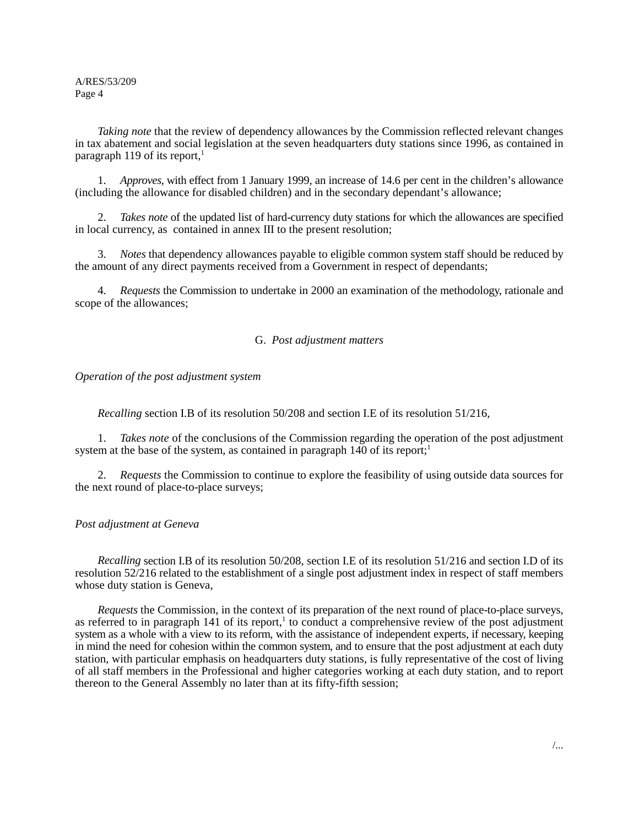A/RES/53/209 Page 4

*Taking note* that the review of dependency allowances by the Commission reflected relevant changes in tax abatement and social legislation at the seven headquarters duty stations since 1996, as contained in paragraph 119 of its report, $<sup>1</sup>$ </sup>

1. *Approves*, with effect from 1 January 1999, an increase of 14.6 per cent in the children's allowance (including the allowance for disabled children) and in the secondary dependant's allowance;

2. *Takes note* of the updated list of hard-currency duty stations for which the allowances are specified in local currency, as contained in annex III to the present resolution;

3. *Notes* that dependency allowances payable to eligible common system staff should be reduced by the amount of any direct payments received from a Government in respect of dependants;

4. *Requests* the Commission to undertake in 2000 an examination of the methodology, rationale and scope of the allowances;

### G. *Post adjustment matters*

*Operation of the post adjustment system*

*Recalling* section I.B of its resolution 50/208 and section I.E of its resolution 51/216,

1. *Takes note* of the conclusions of the Commission regarding the operation of the post adjustment system at the base of the system, as contained in paragraph  $140$  of its report;<sup>1</sup>

2. *Requests* the Commission to continue to explore the feasibility of using outside data sources for the next round of place-to-place surveys;

### *Post adjustment at Geneva*

*Recalling* section I.B of its resolution 50/208, section I.E of its resolution 51/216 and section I.D of its resolution 52/216 related to the establishment of a single post adjustment index in respect of staff members whose duty station is Geneva,

*Requests* the Commission, in the context of its preparation of the next round of place-to-place surveys, as referred to in paragraph 141 of its report,<sup>1</sup> to conduct a comprehensive review of the post adjustment system as a whole with a view to its reform, with the assistance of independent experts, if necessary, keeping in mind the need for cohesion within the common system, and to ensure that the post adjustment at each duty station, with particular emphasis on headquarters duty stations, is fully representative of the cost of living of all staff members in the Professional and higher categories working at each duty station, and to report thereon to the General Assembly no later than at its fifty-fifth session;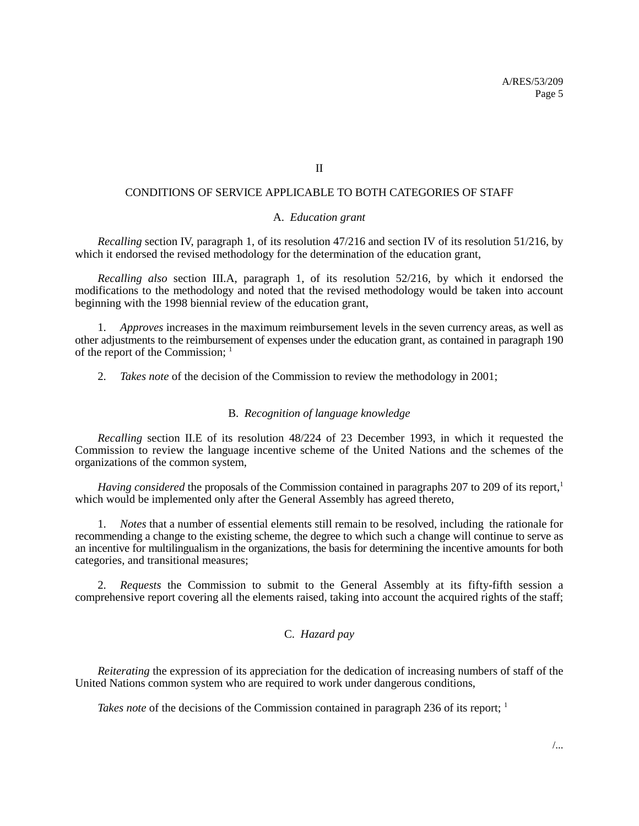II

### CONDITIONS OF SERVICE APPLICABLE TO BOTH CATEGORIES OF STAFF

### A. *Education grant*

*Recalling* section IV, paragraph 1, of its resolution 47/216 and section IV of its resolution 51/216, by which it endorsed the revised methodology for the determination of the education grant,

*Recalling also* section III.A, paragraph 1, of its resolution 52/216, by which it endorsed the modifications to the methodology and noted that the revised methodology would be taken into account beginning with the 1998 biennial review of the education grant,

1. *Approves* increases in the maximum reimbursement levels in the seven currency areas, as well as other adjustments to the reimbursement of expenses under the education grant, as contained in paragraph 190 of the report of the Commission:  $<sup>1</sup>$ </sup>

2. *Takes note* of the decision of the Commission to review the methodology in 2001;

### B. *Recognition of language knowledge*

*Recalling* section II.E of its resolution 48/224 of 23 December 1993, in which it requested the Commission to review the language incentive scheme of the United Nations and the schemes of the organizations of the common system,

*Having considered* the proposals of the Commission contained in paragraphs 207 to 209 of its report,<sup>1</sup> which would be implemented only after the General Assembly has agreed thereto,

1. *Notes* that a number of essential elements still remain to be resolved, including the rationale for recommending a change to the existing scheme, the degree to which such a change will continue to serve as an incentive for multilingualism in the organizations, the basis for determining the incentive amounts for both categories, and transitional measures;

2. *Requests* the Commission to submit to the General Assembly at its fifty-fifth session a comprehensive report covering all the elements raised, taking into account the acquired rights of the staff;

### C. *Hazard pay*

*Reiterating* the expression of its appreciation for the dedication of increasing numbers of staff of the United Nations common system who are required to work under dangerous conditions,

*Takes note* of the decisions of the Commission contained in paragraph 236 of its report; <sup>1</sup>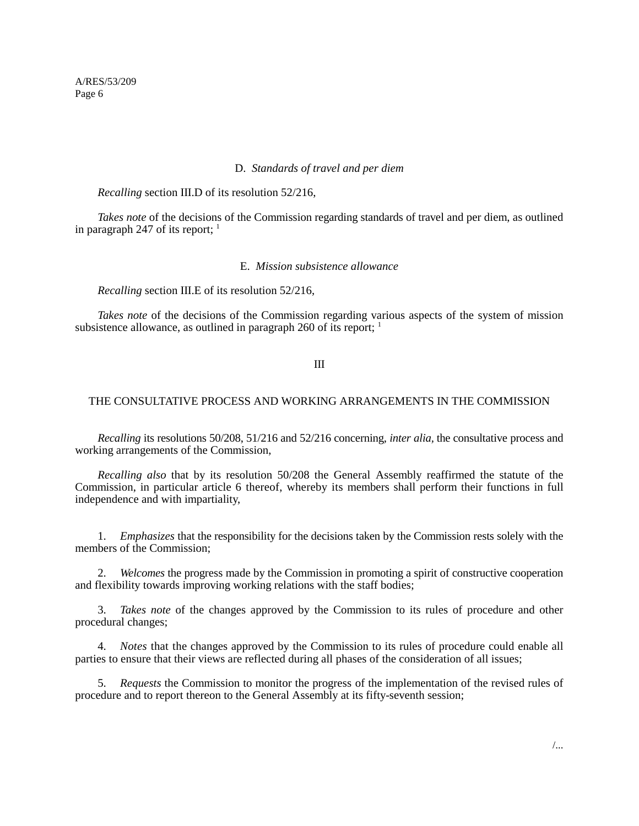A/RES/53/209 Page 6

#### D. *Standards of travel and per diem*

*Recalling* section III.D of its resolution 52/216,

*Takes note* of the decisions of the Commission regarding standards of travel and per diem, as outlined in paragraph 247 of its report;  $<sup>1</sup>$ </sup>

### E. *Mission subsistence allowance*

*Recalling* section III.E of its resolution 52/216,

*Takes note* of the decisions of the Commission regarding various aspects of the system of mission subsistence allowance, as outlined in paragraph 260 of its report;  $<sup>1</sup>$ </sup>

III

### THE CONSULTATIVE PROCESS AND WORKING ARRANGEMENTS IN THE COMMISSION

*Recalling* its resolutions 50/208, 51/216 and 52/216 concerning, *inter alia,* the consultative process and working arrangements of the Commission,

*Recalling also* that by its resolution 50/208 the General Assembly reaffirmed the statute of the Commission, in particular article 6 thereof, whereby its members shall perform their functions in full independence and with impartiality,

1. *Emphasizes* that the responsibility for the decisions taken by the Commission rests solely with the members of the Commission;

2. *Welcomes* the progress made by the Commission in promoting a spirit of constructive cooperation and flexibility towards improving working relations with the staff bodies;

3. *Takes note* of the changes approved by the Commission to its rules of procedure and other procedural changes;

4. *Notes* that the changes approved by the Commission to its rules of procedure could enable all parties to ensure that their views are reflected during all phases of the consideration of all issues;

5. *Requests* the Commission to monitor the progress of the implementation of the revised rules of procedure and to report thereon to the General Assembly at its fifty-seventh session;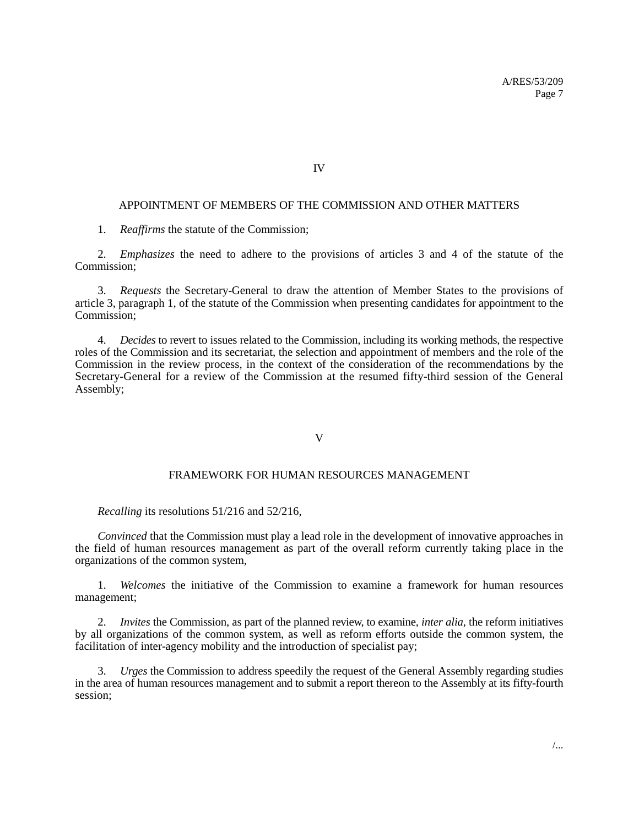IV

### APPOINTMENT OF MEMBERS OF THE COMMISSION AND OTHER MATTERS

1. *Reaffirms* the statute of the Commission;

2. *Emphasizes* the need to adhere to the provisions of articles 3 and 4 of the statute of the Commission;

3. *Requests* the Secretary-General to draw the attention of Member States to the provisions of article 3, paragraph 1, of the statute of the Commission when presenting candidates for appointment to the Commission;

4. *Decides* to revert to issues related to the Commission, including its working methods, the respective roles of the Commission and its secretariat, the selection and appointment of members and the role of the Commission in the review process, in the context of the consideration of the recommendations by the Secretary-General for a review of the Commission at the resumed fifty-third session of the General Assembly;

#### V

#### FRAMEWORK FOR HUMAN RESOURCES MANAGEMENT

*Recalling* its resolutions 51/216 and 52/216,

*Convinced* that the Commission must play a lead role in the development of innovative approaches in the field of human resources management as part of the overall reform currently taking place in the organizations of the common system,

1. *Welcomes* the initiative of the Commission to examine a framework for human resources management;

2. *Invites* the Commission, as part of the planned review, to examine, *inter alia*, the reform initiatives by all organizations of the common system, as well as reform efforts outside the common system, the facilitation of inter-agency mobility and the introduction of specialist pay;

3. *Urges* the Commission to address speedily the request of the General Assembly regarding studies in the area of human resources management and to submit a report thereon to the Assembly at its fifty-fourth session;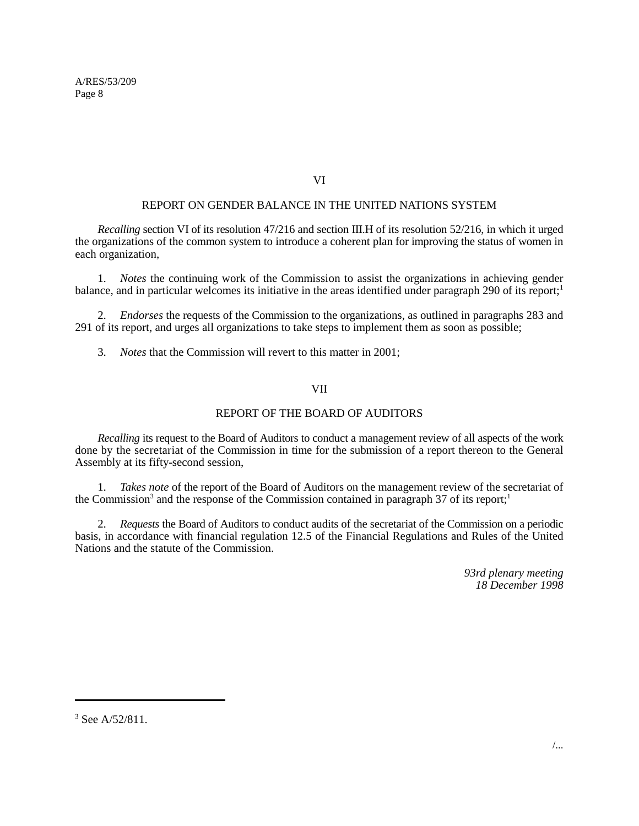A/RES/53/209 Page 8

### VI

### REPORT ON GENDER BALANCE IN THE UNITED NATIONS SYSTEM

*Recalling* section VI of its resolution 47/216 and section III.H of its resolution 52/216, in which it urged the organizations of the common system to introduce a coherent plan for improving the status of women in each organization,

1. *Notes* the continuing work of the Commission to assist the organizations in achieving gender balance, and in particular welcomes its initiative in the areas identified under paragraph 290 of its report;<sup>1</sup>

2. *Endorses* the requests of the Commission to the organizations, as outlined in paragraphs 283 and 291 of its report, and urges all organizations to take steps to implement them as soon as possible;

3. *Notes* that the Commission will revert to this matter in 2001;

### VII

### REPORT OF THE BOARD OF AUDITORS

*Recalling* its request to the Board of Auditors to conduct a management review of all aspects of the work done by the secretariat of the Commission in time for the submission of a report thereon to the General Assembly at its fifty-second session,

1. *Takes note* of the report of the Board of Auditors on the management review of the secretariat of the Commission<sup>3</sup> and the response of the Commission contained in paragraph 37 of its report;<sup>1</sup>

2. *Requests* the Board of Auditors to conduct audits of the secretariat of the Commission on a periodic basis, in accordance with financial regulation 12.5 of the Financial Regulations and Rules of the United Nations and the statute of the Commission.

> *93rd plenary meeting 18 December 1998*

<sup>&</sup>lt;sup>3</sup> See A/52/811.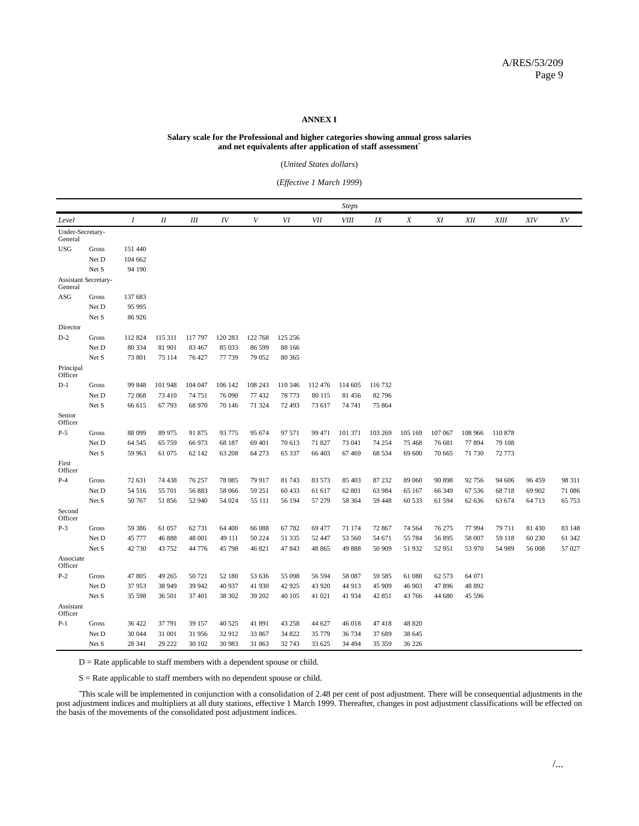#### **ANNEX I**

#### **Salary scale for the Professional and higher categories showing annual gross salaries and net equivalents after application of staff assessment**\*

(*United States dollars*)

(*Effective 1 March 1999*)

|                                 |       |                  |         |         |         |         |         |            | <b>Steps</b> |         |                  |         |            |             |            |        |
|---------------------------------|-------|------------------|---------|---------|---------|---------|---------|------------|--------------|---------|------------------|---------|------------|-------------|------------|--------|
| Level                           |       | $\boldsymbol{I}$ | $I\!I$  | Ш       | IV      | V       | VI      | <b>VII</b> | <b>VIII</b>  | IX      | $\boldsymbol{X}$ | XI      | <b>XII</b> | <b>XIII</b> | <b>XIV</b> | XV     |
| Under-Secretary-<br>General     |       |                  |         |         |         |         |         |            |              |         |                  |         |            |             |            |        |
| <b>USG</b>                      | Gross | 151 440          |         |         |         |         |         |            |              |         |                  |         |            |             |            |        |
|                                 | Net D | 104 662          |         |         |         |         |         |            |              |         |                  |         |            |             |            |        |
|                                 | Net S | 94 190           |         |         |         |         |         |            |              |         |                  |         |            |             |            |        |
| Assistant Secretary-<br>General |       |                  |         |         |         |         |         |            |              |         |                  |         |            |             |            |        |
| ASG                             | Gross | 137 683          |         |         |         |         |         |            |              |         |                  |         |            |             |            |        |
|                                 | Net D | 95 995           |         |         |         |         |         |            |              |         |                  |         |            |             |            |        |
|                                 | Net S | 86 926           |         |         |         |         |         |            |              |         |                  |         |            |             |            |        |
| Director                        |       |                  |         |         |         |         |         |            |              |         |                  |         |            |             |            |        |
| $D-2$                           | Gross | 112 824          | 115 311 | 117 797 | 120 283 | 122 768 | 125 256 |            |              |         |                  |         |            |             |            |        |
|                                 | Net D | 80 334           | 81 901  | 83 467  | 85 033  | 86 599  | 88 166  |            |              |         |                  |         |            |             |            |        |
|                                 | Net S | 73 801           | 75 114  | 76 427  | 77 739  | 79 052  | 80 365  |            |              |         |                  |         |            |             |            |        |
| Principal<br>Officer            |       |                  |         |         |         |         |         |            |              |         |                  |         |            |             |            |        |
| $D-1$                           | Gross | 99 848           | 101 948 | 104 047 | 106 142 | 108 243 | 110 346 | 112 476    | 114 605      | 116 732 |                  |         |            |             |            |        |
|                                 | Net D | 72 068           | 73 410  | 74 751  | 76 090  | 77 432  | 78 773  | 80 115     | 81456        | 82 79 6 |                  |         |            |             |            |        |
|                                 | Net S | 66 615           | 67 793  | 68 970  | 70 146  | 71 324  | 72 493  | 73 617     | 74 741       | 75 864  |                  |         |            |             |            |        |
| Senior<br>Officer               |       |                  |         |         |         |         |         |            |              |         |                  |         |            |             |            |        |
| $P-5$                           | Gross | 88 099           | 89 975  | 91 875  | 93 775  | 95 674  | 97 571  | 99 471     | 101 371      | 103 269 | 105 169          | 107 067 | 108 966    | 110 878     |            |        |
|                                 | Net D | 64 545           | 65 759  | 66 973  | 68 187  | 69 401  | 70 613  | 71 827     | 73 041       | 74 254  | 75 468           | 76 681  | 77 894     | 79 108      |            |        |
|                                 | Net S | 59 963           | 61 075  | 62 142  | 63 208  | 64 273  | 65 337  | 66 403     | 67469        | 68 534  | 69 600           | 70 665  | 71 730     | 72 773      |            |        |
| First<br>Officer                |       |                  |         |         |         |         |         |            |              |         |                  |         |            |             |            |        |
| $P-4$                           | Gross | 72 631           | 74 438  | 76 257  | 78 085  | 79 917  | 81 743  | 83 573     | 85 403       | 87 232  | 89 060           | 90 898  | 92 756     | 94 60 6     | 96 459     | 98 311 |
|                                 | Net D | 54 516           | 55 701  | 56883   | 58 066  | 59 251  | 60 433  | 61 617     | 62 801       | 63 984  | 65 167           | 66 349  | 67 536     | 68718       | 69 902     | 71 086 |
|                                 | Net S | 50 767           | 51 856  | 52 940  | 54 024  | 55 111  | 56 194  | 57 279     | 58 364       | 59 448  | 60 533           | 61 594  | 62 636     | 63 674      | 64 713     | 65 753 |
| Second<br>Officer               |       |                  |         |         |         |         |         |            |              |         |                  |         |            |             |            |        |
| $P-3$                           | Gross | 59 38 6          | 61 057  | 62 731  | 64 400  | 66 088  | 67 782  | 69 477     | 71 174       | 72 867  | 74 5 64          | 76 275  | 77 994     | 79 711      | 81 430     | 83 148 |
|                                 | Net D | 45 777           | 46 888  | 48 001  | 49 111  | 50 224  | 51 335  | 52 447     | 53 560       | 54 671  | 55 784           | 56 895  | 58 007     | 59 118      | 60 230     | 61 342 |
|                                 | Net S | 42 730           | 43 752  | 44 776  | 45 798  | 46 821  | 47843   | 48 865     | 49888        | 50 909  | 51 932           | 52 951  | 53 970     | 54 989      | 56 008     | 57 027 |
| Associate<br>Officer            |       |                  |         |         |         |         |         |            |              |         |                  |         |            |             |            |        |
| $P-2$                           | Gross | 47 805           | 49 265  | 50721   | 52 180  | 53 636  | 55 098  | 56 594     | 58 087       | 59 585  | 61 080           | 62 573  | 64 071     |             |            |        |
|                                 | Net D | 37953            | 38 949  | 39 942  | 40 937  | 41 930  | 42 9 25 | 43 9 20    | 44 913       | 45 909  | 46 903           | 47896   | 48 892     |             |            |        |
|                                 | Net S | 35 598           | 36 501  | 37 401  | 38 302  | 39 202  | 40 105  | 41 021     | 41 934       | 42 851  | 43 766           | 44 680  | 45 596     |             |            |        |
| Assistant<br>Officer            |       |                  |         |         |         |         |         |            |              |         |                  |         |            |             |            |        |
| $P-1$                           | Gross | 36 422           | 37 791  | 39 157  | 40 5 25 | 41 891  | 43 258  | 44 627     | 46 018       | 47418   | 48 820           |         |            |             |            |        |
|                                 | Net D | 30 044           | 31 001  | 31 956  | 32 912  | 33 867  | 34 822  | 35 779     | 36 734       | 37 689  | 38 645           |         |            |             |            |        |
|                                 | Net S | 28 341           | 29 222  | 30 102  | 30 983  | 31 863  | 32 743  | 33 625     | 34 4 94      | 35 35 9 | 36 226           |         |            |             |            |        |

D = Rate applicable to staff members with a dependent spouse or child.

S = Rate applicable to staff members with no dependent spouse or child.

\* This scale will be implemented in conjunction with a consolidation of 2.48 per cent of post adjustment. There will be consequential adjustments in the post adjustment indices and multipliers at all duty stations, effective 1 March 1999. Thereafter, changes in post adjustment classifications will be effected on the basis of the movements of the consolidated post adjustment indices.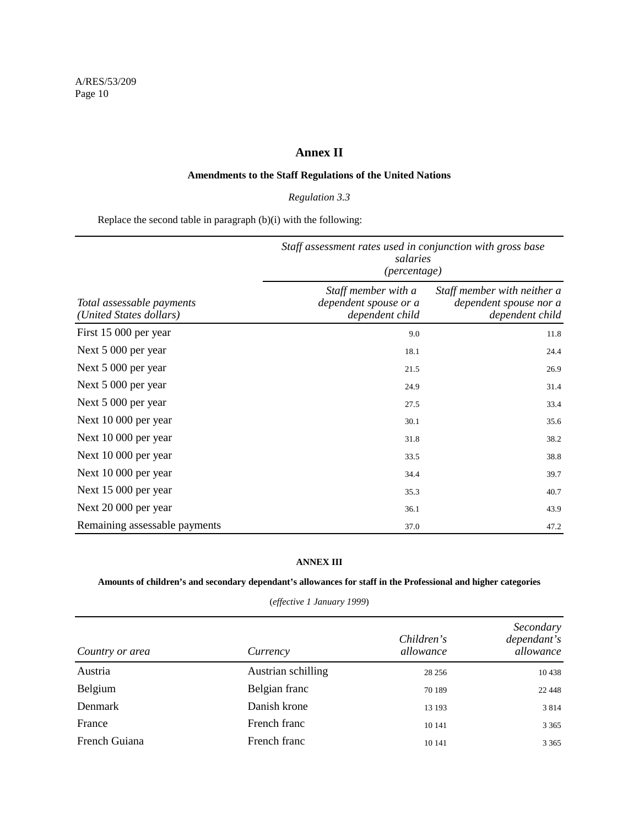### **Annex II**

### **Amendments to the Staff Regulations of the United Nations**

### *Regulation 3.3*

Replace the second table in paragraph (b)(i) with the following:

|                                                      | Staff assessment rates used in conjunction with gross base<br>salaries<br>(percentage) |                                                                          |  |  |  |
|------------------------------------------------------|----------------------------------------------------------------------------------------|--------------------------------------------------------------------------|--|--|--|
| Total assessable payments<br>(United States dollars) | Staff member with a<br>dependent spouse or a<br>dependent child                        | Staff member with neither a<br>dependent spouse nor a<br>dependent child |  |  |  |
| First 15 000 per year                                | 9.0                                                                                    | 11.8                                                                     |  |  |  |
| Next 5 000 per year                                  | 18.1                                                                                   | 24.4                                                                     |  |  |  |
| Next 5 000 per year                                  | 21.5                                                                                   | 26.9                                                                     |  |  |  |
| Next 5 000 per year                                  | 24.9                                                                                   | 31.4                                                                     |  |  |  |
| Next 5 000 per year                                  | 27.5                                                                                   | 33.4                                                                     |  |  |  |
| Next 10 000 per year                                 | 30.1                                                                                   | 35.6                                                                     |  |  |  |
| Next 10 000 per year                                 | 31.8                                                                                   | 38.2                                                                     |  |  |  |
| Next 10 000 per year                                 | 33.5                                                                                   | 38.8                                                                     |  |  |  |
| Next 10 000 per year                                 | 34.4                                                                                   | 39.7                                                                     |  |  |  |
| Next 15 000 per year                                 | 35.3                                                                                   | 40.7                                                                     |  |  |  |
| Next 20 000 per year                                 | 36.1                                                                                   | 43.9                                                                     |  |  |  |
| Remaining assessable payments                        | 37.0                                                                                   | 47.2                                                                     |  |  |  |

### **ANNEX III**

### **Amounts of children's and secondary dependant's allowances for staff in the Professional and higher categories**

| Country or area | Currency           | Children's<br>allowance | Secondary<br>dependant's<br>allowance |
|-----------------|--------------------|-------------------------|---------------------------------------|
| Austria         | Austrian schilling | 28 25 6                 | 10 4 38                               |
| Belgium         | Belgian franc      | 70 189                  | 22 4 4 8                              |
| <b>Denmark</b>  | Danish krone       | 13 193                  | 3814                                  |
| France          | French franc       | 10 14 1                 | 3 3 6 5                               |
| French Guiana   | French franc       | 10 14 1                 | 3 3 6 5                               |